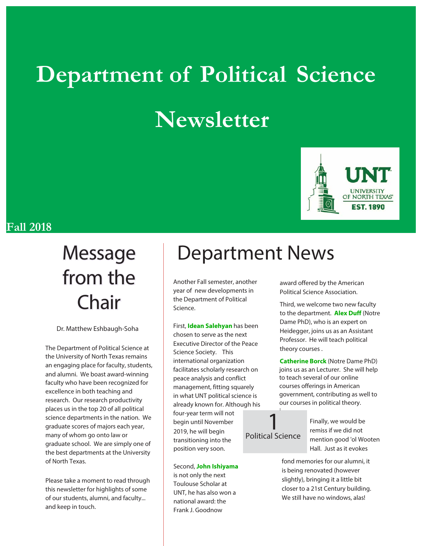# **Department of Political Science Newsletter**



### **Fall 2018**

# from the Chair

Dr. Matthew Eshbaugh-Soha

The Department of Political Science at the University of North Texas remains an engaging place for faculty, students, and alumni. We boast award-winning faculty who have been recognized for excellence in both teaching and research. Our research productivity places us in the top 20 of all political science departments in the nation. We graduate scores of majors each year, many of whom go onto law or graduate school. We are simply one of the best departments at the University of North Texas.

Please take a moment to read through this newsletter for highlights of some of our students, alumni, and faculty... and keep in touch.

## Message | Department News

Another Fall semester, another year of new developments in the Department of Political Science.

First, **Idean Salehyan** has been chosen to serve as the next Executive Director of the Peace Science Society. This international organization facilitates scholarly research on peace analysis and conflict management, fitting squarely in what UNT political science is already known for. Although his four-year term will not begin until November 2019, he will begin transitioning into the position very soon.

Second, **John Ishiyama** is not only the next Toulouse Scholar at UNT, he has also won a national award: the Frank J. Goodnow

award offered by the American Political Science Association.

Third, we welcome two new faculty to the department. **Alex Duff** (Notre Dame PhD), who is an expert on Heidegger, joins us as an Assistant Professor. He will teach political theory courses .

**Catherine Borck** (Notre Dame PhD) joins us as an Lecturer. She will help to teach several of our online courses offerings in American government, contributing as well to our courses in political theory.

### 1 Political Science

 $\ddot{\cdot}$ 

Finally, we would be remiss if we did not mention good 'ol Wooten Hall. Just as it evokes

fond memories for our alumni, it is being renovated (however slightly), bringing it a little bit closer to a 21st Century building. We still have no windows, alas!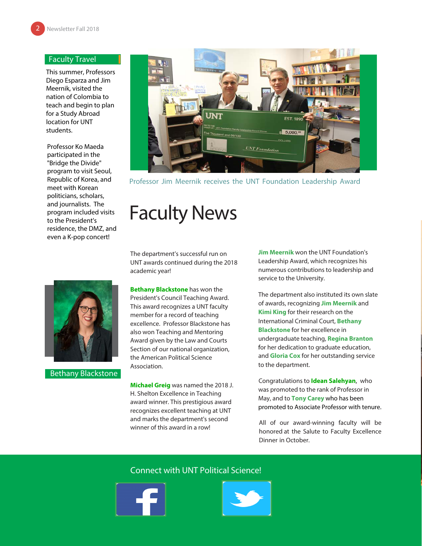#### Faculty Travel

This summer, Professors Diego Esparza and Jim Meernik, visited the nation of Colombia to teach and begin to plan for a Study Abroad location for UNT students.

Professor Ko Maeda participated in the "Bridge the Divide" program to visit Seoul, Republic of Korea, and meet with Korean politicians, scholars, and journalists. The program included visits to the President's residence, the DMZ, and even a K-pop concert!



Professor Jim Meernik receives the UNT Foundation Leadership Award

### Faculty News

The department's successful run on UNT awards continued during the 2018 academic year!

Bethany Blackstone

**Bethany Blackstone** has won the President's Council Teaching Award. This award recognizes a UNT faculty member for a record of teaching excellence. Professor Blackstone has also won Teaching and Mentoring Award given by the Law and Courts Section of our national organization, the American Political Science Association.

**Michael Greig** was named the 2018 J. H. Shelton Excellence in Teaching award winner. This prestigious award recognizes excellent teaching at UNT and marks the department's second winner of this award in a row!

**Jim Meernik** won the UNT Foundation's Leadership Award, which recognizes his numerous contributions to leadership and service to the University.

The department also instituted its own slate of awards, recognizing **Jim Meernik** and **Kimi King** for their research on the International Criminal Court, **Bethany Blackstone** for her excellence in undergraduate teaching, **Regina Branton**  for her dedication to graduate education, and **Gloria Cox** for her outstanding service to the department.

Congratulations to **Idean Salehyan**, who was promoted to the rank of Professor in May, and to **Tony Carey** who has been promoted to Associate Professor with tenure.

All of our award-winning faculty will be honored at the Salute to Faculty Excellence Dinner in October.

#### Connect with UNT Political Science!



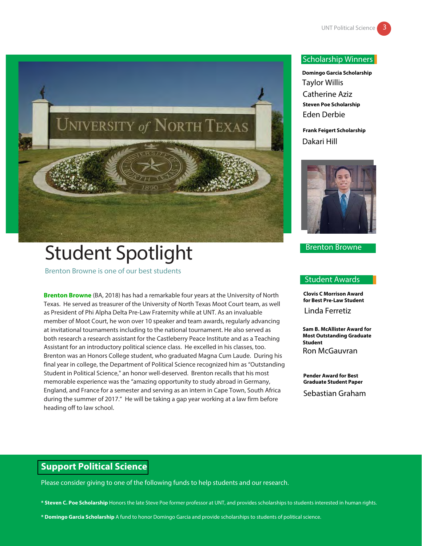

# Student Spotlight

Brenton Browne is one of our best students

**Brenton Browne** (BA, 2018) has had a remarkable four years at the University of North Texas. He served as treasurer of the University of North Texas Moot Court team, as well as President of Phi Alpha Delta Pre-Law Fraternity while at UNT. As an invaluable member of Moot Court, he won over 10 speaker and team awards, regularly advancing at invitational tournaments including to the national tournament. He also served as both research a research assistant for the Castleberry Peace Institute and as a Teaching Assistant for an introductory political science class. He excelled in his classes, too. Brenton was an Honors College student, who graduated Magna Cum Laude. During his final year in college, the Department of Political Science recognized him as "Outstanding Student in Political Science," an honor well-deserved. Brenton recalls that his most memorable experience was the "amazing opportunity to study abroad in Germany, England, and France for a semester and serving as an intern in Cape Town, South Africa during the summer of 2017." He will be taking a gap year working at a law firm before heading off to law school.

#### Scholarship Winners

**Domingo Garcia Scholarship** Taylor Willis Catherine Aziz **Steven Poe Scholarship** Eden Derbie

**Frank Feigert Scholarship** Dakari Hill



Brenton Browne

#### Student Awards

**Clovis C Morrison Award for Best Pre-Law Student** Linda Ferretiz

**Sam B. McAllister Award for Most Outstanding Graduate Student** Ron McGauvran

**Pender Award for Best Graduate Student Paper**

Sebastian Graham

### **Support Political Science**

Please consider giving to one of the following funds to help students and our research.

- **\* Steven C. Poe Scholarship** Honors the late Steve Poe former professor at UNT, and provides scholarships to students interested in human rights.
- **\* Domingo Garcia Scholarship** A fund to honor Domingo Garcia and provide scholarships to students of political science.